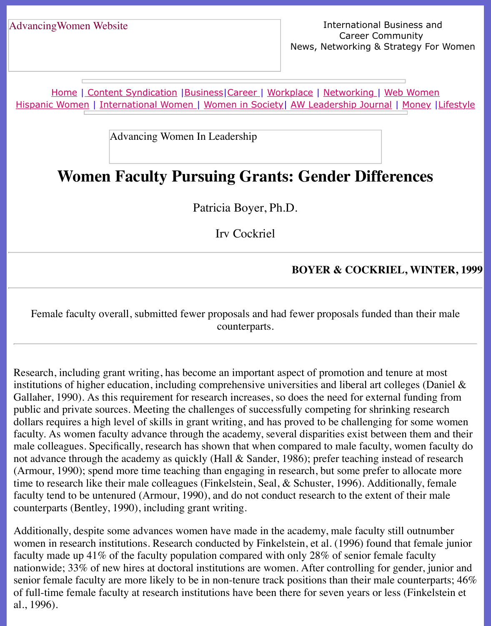Home | Content Syndication | Business | Career | Workplace | Networking | Web Wo Hispanic Women | International Women | Women in Society | AW Leadership Journal | Mon

Advancing Women In Leadership

# **[Wo](http://www.advancingwomen.com/index.html)[men Faculty P](file:///content.html)[ursuin](file:///business.html)[g Gr](file:///awcareer.html)[a](file:///Users/nrahman/Dropbox/AWL/womsoc/index.html)[nts: Ge](file:///workplace.html)[nder Dif](file:///networks.html)[f](file:///awl/awl.html)[erences](file:///web.html)**

Patricia Boyer, Ph.D.

Irv Cockriel

#### **BOYER & COCKRIEL, W**

Female faculty overall, submitted fewer proposals and had fewer proposals funded than counterparts.

Research, including grant writing, has become an important aspect of promotion and tenure at  $\alpha$ institutions of higher education, including comprehensive universities and liberal art colleges Gallaher, 1990). As this requirement for research increases, so does the need for external fun public and private sources. Meeting the challenges of successfully competing for shrinking research dollars requires a high level of skills in grant writing, and has proved to be challenging for some faculty. As women faculty advance through the academy, several disparities exist between them and the mand their male colleagues. Specifically, research has shown that when compared to male faculty, women not advance through the academy as quickly (Hall  $&$  Sander, 1986); prefer teaching instead of (Armour, 1990); spend more time teaching than engaging in research, but some prefer to allo time to research like their male colleagues (Finkelstein, Seal,  $\&$  Schuster, 1996). Additionall faculty tend to be untenured (Armour, 1990), and do not conduct research to the extent of the counterparts (Bentley, 1990), including grant writing.

Additionally, despite some advances women have made in the academy, male faculty still ou women in research institutions. Research conducted by Finkelstein, et al. (1996) found that f faculty made up  $41\%$  of the faculty population compared with only 28% of senior female factors. nationwide; 33% of new hires at doctoral institutions are women. After controlling for gender, senior female faculty are more likely to be in non-tenure track positions than their male counter of full-time female faculty at research institutions have been there for seven years or less (Fig. al., 1996).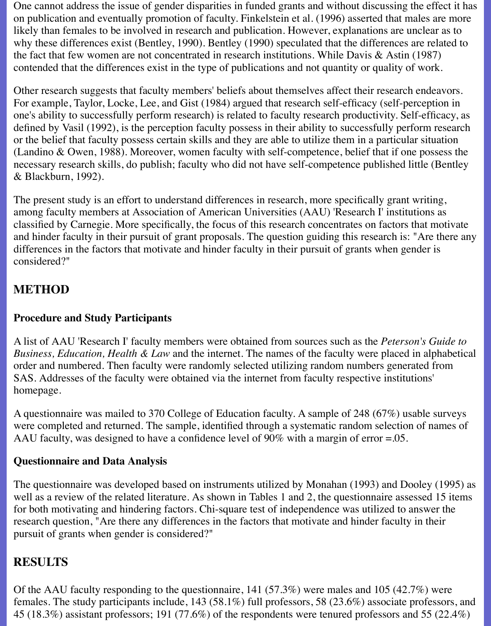One cannot address the issue of gender disparities in funded grants and without discussing the effect it has on publication and eventually promotion of faculty. Finkelstein et al. (1996) asserted that males are more likely than females to be involved in research and publication. However, explanations are unclear as to why these differences exist (Bentley, 1990). Bentley (1990) speculated that the differences are related to the fact that few women are not concentrated in research institutions. While Davis  $\&$  Astin (1987) contended that the differences exist in the type of publications and not quantity or quality of work.

Other research suggests that faculty members' beliefs about themselves affect their research endeavors. For example, Taylor, Locke, Lee, and Gist (1984) argued that research self-efficacy (self-perception in one's ability to successfully perform research) is related to faculty research productivity. Self-efficacy, as defined by Vasil (1992), is the perception faculty possess in their ability to successfully perform research or the belief that faculty possess certain skills and they are able to utilize them in a particular situation (Landino & Owen, 1988). Moreover, women faculty with self-competence, belief that if one possess the necessary research skills, do publish; faculty who did not have self-competence published little (Bentley & Blackburn, 1992).

The present study is an effort to understand differences in research, more specifically grant writing, among faculty members at Association of American Universities (AAU) 'Research I' institutions as classified by Carnegie. More specifically, the focus of this research concentrates on factors that motivate and hinder faculty in their pursuit of grant proposals. The question guiding this research is: "Are there any differences in the factors that motivate and hinder faculty in their pursuit of grants when gender is considered?"

# **METHOD**

## **Procedure and Study Participants**

A list of AAU 'Research I' faculty members were obtained from sources such as the *Peterson's Guide to Business, Education, Health & Law* and the internet. The names of the faculty were placed in alphabetical order and numbered. Then faculty were randomly selected utilizing random numbers generated from SAS. Addresses of the faculty were obtained via the internet from faculty respective institutions' homepage.

A questionnaire was mailed to 370 College of Education faculty. A sample of 248 (67%) usable surveys were completed and returned. The sample, identified through a systematic random selection of names of AAU faculty, was designed to have a confidence level of 90% with a margin of error =.05.

#### **Questionnaire and Data Analysis**

The questionnaire was developed based on instruments utilized by Monahan (1993) and Dooley (1995) as well as a review of the related literature. As shown in Tables 1 and 2, the questionnaire assessed 15 items for both motivating and hindering factors. Chi-square test of independence was utilized to answer the research question, "Are there any differences in the factors that motivate and hinder faculty in their pursuit of grants when gender is considered?"

# **RESULTS**

Of the AAU faculty responding to the questionnaire, 141 (57.3%) were males and 105 (42.7%) were females. The study participants include, 143 (58.1%) full professors, 58 (23.6%) associate professors, and 45 (18.3%) assistant professors; 191 (77.6%) of the respondents were tenured professors and 55 (22.4%)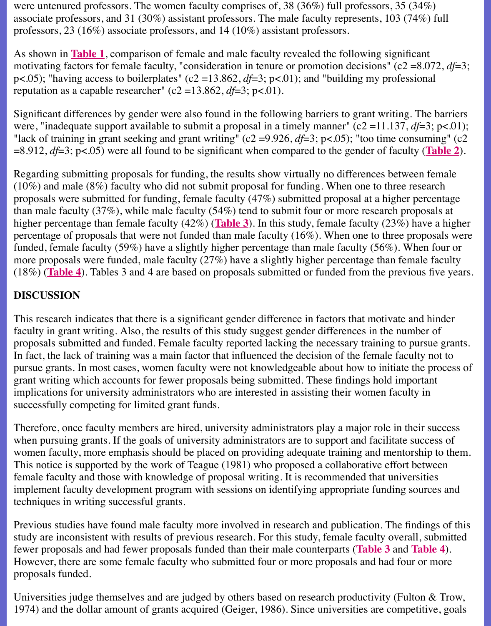reputation as a capable researcher" (c2 = 13.862,  $df=3$ ; p<.01).

Significant differences by gender were also found in the following barriers to grant writing. The barriers of the barriers to grant writing. were, "inadequate support available to submit a proposal in a timely manner" (c2 = 11.137, *d* "lack of train[ing in gr](file:///Users/nrahman/Dropbox/AWL/June9/No4/boyer1.html)ant seeking and grant writing" (c2 = 9.926,  $df=3$ ; p<.05); "too time cons =8.912, *df*=3; p<.05) were all found to be significant when compared to the gender of faculty

Regarding submitting proposals for funding, the results show virtually no differences between (10%) and male (8%) faculty who did not submit proposal for funding. When one to three re proposals were submitted for funding, female faculty  $(47%)$  submitted proposal at a higher p than male faculty  $(37\%)$ , while male faculty  $(54\%)$  tend to submit four or more research proposes higher percentage than female faculty  $(42\%)$  (**Table 3**). In this study, female faculty  $(23\%)$  h percentage of proposals that were not funded than male faculty  $(16\%)$ . When one to three proposed funded, female faculty (59%) have a slightly higher percentage than male faculty (56%). When funded four or  $\frac{1}{2}$ more proposals were funded, male faculty  $(27%)$  have a slightly higher percentage than female (18%) (**Table 4**). Tables 3 and 4 are based on proposals submitted or funded from the previour

## **DISCUSSION**

This research indicates that there is a significa[nt gende](file:///Users/nrahman/Dropbox/AWL/June9/No4/boyer3.html)r difference in factors that motivate and faculty in grant writing. Also, the results of this study suggest gender differences in the numl proposals submitted and funded. Female faculty reported lacking the necessary training to pur In fact, [the lack](file:///Users/nrahman/Dropbox/AWL/June9/No4/boyer4.html) of training was a main factor that influenced the decision of the female faculty not to the set of the female faculty not to the set of the female faculty not to the set of the female faculty not to the s pursue grants. In most cases, women faculty were not knowledgeable about how to initiate the process of process of  $p$ grant writing which accounts for fewer proposals being submitted. These findings hold impo implications for university administrators who are interested in assisting their women faculty successfully competing for limited grant funds.

Therefore, once faculty members are hired, university administrators play a major role in the when pursuing grants. If the goals of university administrators are to support and facilitate su women faculty, more emphasis should be placed on providing adequate training and mentors This notice is supported by the work of Teague (1981) who proposed a collaborative effort b female faculty and those with knowledge of proposal writing. It is recommended that universe implement faculty development program with sessions on identifying appropriate funding so techniques in writing successful grants.

Previous studies have found male faculty more involved in research and publication. The fin study are inconsistent with results of previous research. For this study, female faculty overall fewer proposals and had fewer proposals funded than their male counterparts (**Table 3** and **Table 4**). However, there are some female faculty who submitted four or more proposals and had four proposals funded.

Universities judge themselves and are judged by others based on research productivity (Fulton 1974) and the dollar amount of grants acquired (Geiger, 1986). Since universities are competitive, and the dollar amount of grants acquired (Geiger, 1986). Since universities are competitive.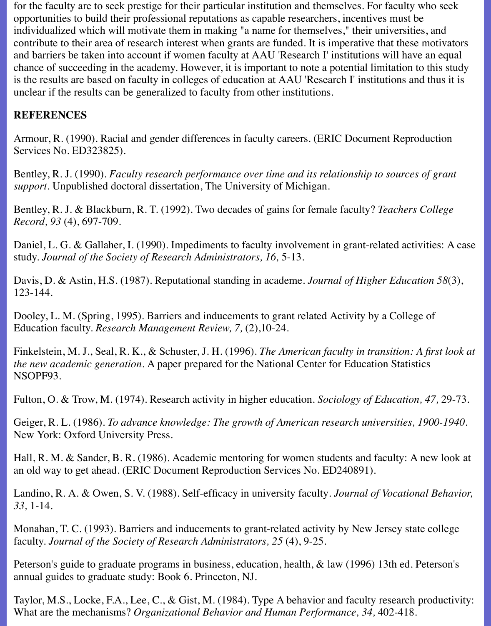for the faculty are to seek prestige for their particular institution and themselves. For faculty who seek opportunities to build their professional reputations as capable researchers, incentives must be individualized which will motivate them in making "a name for themselves," their universities, and contribute to their area of research interest when grants are funded. It is imperative that these motivators and barriers be taken into account if women faculty at AAU 'Research I' institutions will have an equal chance of succeeding in the academy. However, it is important to note a potential limitation to this study is the results are based on faculty in colleges of education at AAU 'Research I' institutions and thus it is unclear if the results can be generalized to faculty from other institutions.

## **REFERENCES**

Armour, R. (1990). Racial and gender differences in faculty careers. (ERIC Document Reproduction Services No. ED323825).

Bentley, R. J. (1990). *Faculty research performance over time and its relationship to sources of grant support.* Unpublished doctoral dissertation, The University of Michigan.

Bentley, R. J. & Blackburn, R. T. (1992). Two decades of gains for female faculty? *Teachers College Record, 93* (4), 697-709.

Daniel, L. G. & Gallaher, I. (1990). Impediments to faculty involvement in grant-related activities: A case study. *Journal of the Society of Research Administrators, 16,* 5-13.

Davis, D. & Astin, H.S. (1987). Reputational standing in academe. *Journal of Higher Education 58*(3), 123-144.

Dooley, L. M. (Spring, 1995). Barriers and inducements to grant related Activity by a College of Education faculty. *Research Management Review, 7,* (2),10-24.

Finkelstein, M. J., Seal, R. K., & Schuster, J. H. (1996). *The American faculty in transition: A first look at the new academic generation.* A paper prepared for the National Center for Education Statistics NSOPF93.

Fulton, O. & Trow, M. (1974). Research activity in higher education*. Sociology of Education, 47,* 29-73.

Geiger, R. L. (1986). *To advance knowledge: The growth of American research universities, 1900-1940.* New York: Oxford University Press.

Hall, R. M. & Sander, B. R. (1986). Academic mentoring for women students and faculty: A new look at an old way to get ahead. (ERIC Document Reproduction Services No. ED240891).

Landino, R. A. & Owen, S. V. (1988). Self-efficacy in university faculty*. Journal of Vocational Behavior, 33,* 1-14.

Monahan, T. C. (1993). Barriers and inducements to grant-related activity by New Jersey state college faculty. *Journal of the Society of Research Administrators, 25* (4), 9-25.

Peterson's guide to graduate programs in business, education, health, & law (1996) 13th ed. Peterson's annual guides to graduate study: Book 6. Princeton, NJ.

Taylor, M.S., Locke, F.A., Lee, C., & Gist, M. (1984). Type A behavior and faculty research productivity: What are the mechanisms? *Organizational Behavior and Human Performance, 34,* 402-418.